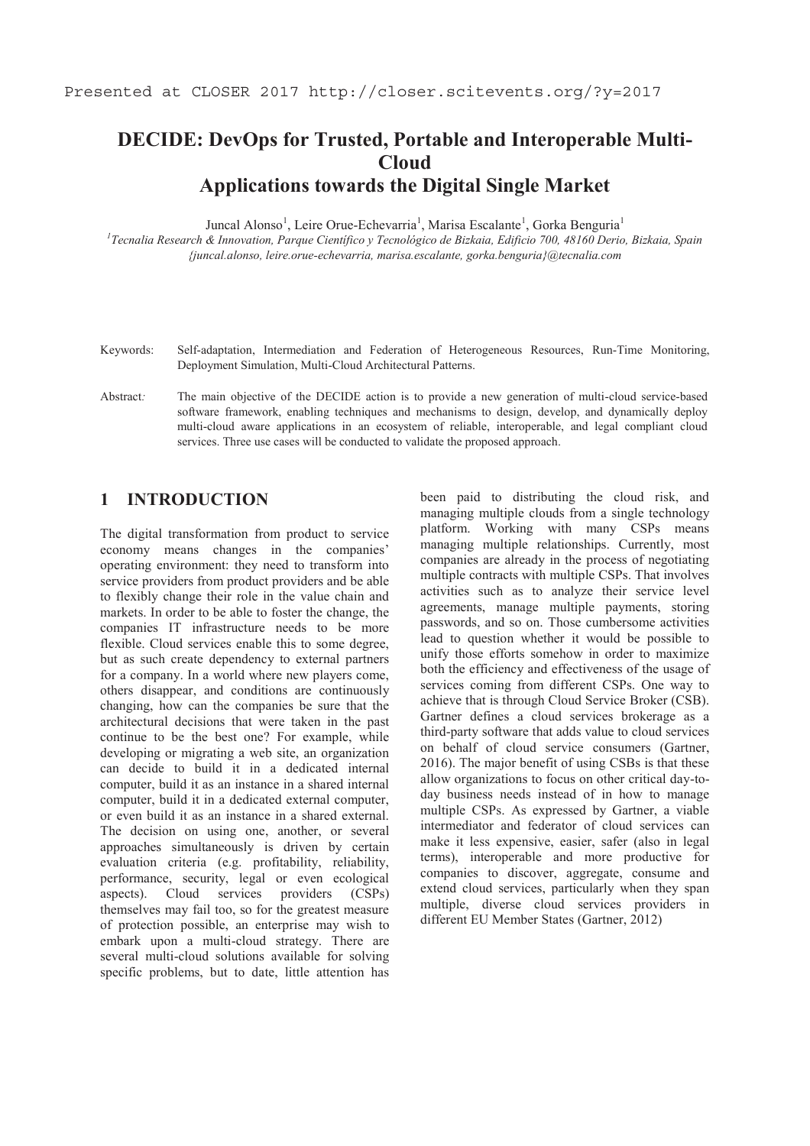# **DECIDE: DevOps for Trusted, Portable and Interoperable Multi-Cloud Applications towards the Digital Single Market**

Juncal Alonso<sup>1</sup>, Leire Orue-Echevarria<sup>1</sup>, Marisa Escalante<sup>1</sup>, Gorka Benguria<sup>1</sup>

*1 Tecnalia Research & Innovation, Parque Científico y Tecnológico de Bizkaia, Edificio 700, 48160 Derio, Bizkaia, Spain {juncal.alonso, leire.orue-echevarria, marisa.escalante, gorka.benguria}@tecnalia.com* 

- Keywords: Self-adaptation, Intermediation and Federation of Heterogeneous Resources, Run-Time Monitoring, Deployment Simulation, Multi-Cloud Architectural Patterns.
- Abstract: The main objective of the DECIDE action is to provide a new generation of multi-cloud service-based software framework, enabling techniques and mechanisms to design, develop, and dynamically deploy multi-cloud aware applications in an ecosystem of reliable, interoperable, and legal compliant cloud services. Three use cases will be conducted to validate the proposed approach.

# **1 INTRODUCTION**

The digital transformation from product to service economy means changes in the companies' operating environment: they need to transform into service providers from product providers and be able to flexibly change their role in the value chain and markets. In order to be able to foster the change, the companies IT infrastructure needs to be more flexible. Cloud services enable this to some degree, but as such create dependency to external partners for a company. In a world where new players come, others disappear, and conditions are continuously changing, how can the companies be sure that the architectural decisions that were taken in the past continue to be the best one? For example, while developing or migrating a web site, an organization can decide to build it in a dedicated internal computer, build it as an instance in a shared internal computer, build it in a dedicated external computer, or even build it as an instance in a shared external. The decision on using one, another, or several approaches simultaneously is driven by certain evaluation criteria (e.g. profitability, reliability, performance, security, legal or even ecological aspects). Cloud services providers (CSPs) themselves may fail too, so for the greatest measure of protection possible, an enterprise may wish to embark upon a multi-cloud strategy. There are several multi-cloud solutions available for solving specific problems, but to date, little attention has

been paid to distributing the cloud risk, and managing multiple clouds from a single technology platform. Working with many CSPs means managing multiple relationships. Currently, most companies are already in the process of negotiating multiple contracts with multiple CSPs. That involves activities such as to analyze their service level agreements, manage multiple payments, storing passwords, and so on. Those cumbersome activities lead to question whether it would be possible to unify those efforts somehow in order to maximize both the efficiency and effectiveness of the usage of services coming from different CSPs. One way to achieve that is through Cloud Service Broker (CSB). Gartner defines a cloud services brokerage as a third-party software that adds value to cloud services on behalf of cloud service consumers (Gartner, 2016). The major benefit of using CSBs is that these allow organizations to focus on other critical day-today business needs instead of in how to manage multiple CSPs. As expressed by Gartner, a viable intermediator and federator of cloud services can make it less expensive, easier, safer (also in legal terms), interoperable and more productive for companies to discover, aggregate, consume and extend cloud services, particularly when they span multiple, diverse cloud services providers in different EU Member States (Gartner, 2012)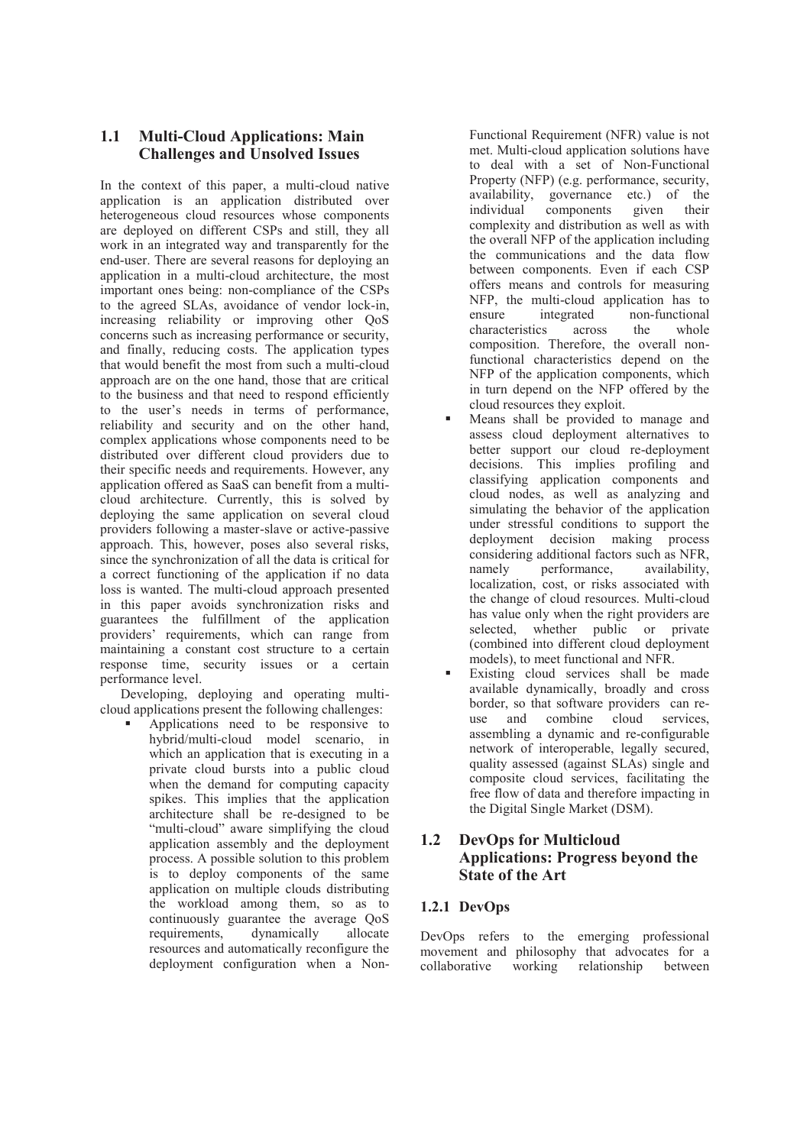# **1.1 Multi-Cloud Applications: Main Challenges and Unsolved Issues**

In the context of this paper, a multi-cloud native application is an application distributed over heterogeneous cloud resources whose components are deployed on different CSPs and still, they all work in an integrated way and transparently for the end-user. There are several reasons for deploying an application in a multi-cloud architecture, the most important ones being: non-compliance of the CSPs to the agreed SLAs, avoidance of vendor lock-in, increasing reliability or improving other QoS concerns such as increasing performance or security, and finally, reducing costs. The application types that would benefit the most from such a multi-cloud approach are on the one hand, those that are critical to the business and that need to respond efficiently to the user's needs in terms of performance, reliability and security and on the other hand, complex applications whose components need to be distributed over different cloud providers due to their specific needs and requirements. However, any application offered as SaaS can benefit from a multicloud architecture. Currently, this is solved by deploying the same application on several cloud providers following a master-slave or active-passive approach. This, however, poses also several risks, since the synchronization of all the data is critical for a correct functioning of the application if no data loss is wanted. The multi-cloud approach presented in this paper avoids synchronization risks and guarantees the fulfillment of the application providers' requirements, which can range from maintaining a constant cost structure to a certain response time, security issues or a certain performance level.

Developing, deploying and operating multicloud applications present the following challenges:

ß Applications need to be responsive to hybrid/multi-cloud model scenario, in which an application that is executing in a private cloud bursts into a public cloud when the demand for computing capacity spikes. This implies that the application architecture shall be re-designed to be "multi-cloud" aware simplifying the cloud application assembly and the deployment process. A possible solution to this problem is to deploy components of the same application on multiple clouds distributing the workload among them, so as to continuously guarantee the average QoS<br>requirements, dynamically allocate requirements, dynamically allocate resources and automatically reconfigure the deployment configuration when a NonFunctional Requirement (NFR) value is not met. Multi-cloud application solutions have to deal with a set of Non-Functional Property (NFP) (e.g. performance, security, availability, governance etc.) of the individual components given their complexity and distribution as well as with the overall NFP of the application including the communications and the data flow between components. Even if each CSP offers means and controls for measuring NFP, the multi-cloud application has to<br>ensure integrated non-functional ensure integrated non-functional characteristics across the whole composition. Therefore, the overall nonfunctional characteristics depend on the NFP of the application components, which in turn depend on the NFP offered by the cloud resources they exploit.

- ß Means shall be provided to manage and assess cloud deployment alternatives to better support our cloud re-deployment decisions. This implies profiling and classifying application components and cloud nodes, as well as analyzing and simulating the behavior of the application under stressful conditions to support the deployment decision making process considering additional factors such as NFR, namely performance, availability, localization, cost, or risks associated with the change of cloud resources. Multi-cloud has value only when the right providers are selected, whether public or private (combined into different cloud deployment models), to meet functional and NFR.
- ß Existing cloud services shall be made available dynamically, broadly and cross border, so that software providers can re-<br>use and combine cloud services, use and combine cloud services, assembling a dynamic and re-configurable network of interoperable, legally secured, quality assessed (against SLAs) single and composite cloud services, facilitating the free flow of data and therefore impacting in the Digital Single Market (DSM).

# **1.2 DevOps for Multicloud Applications: Progress beyond the State of the Art**

#### **1.2.1 DevOps**

DevOps refers to the emerging professional movement and philosophy that advocates for a collaborative working relationship between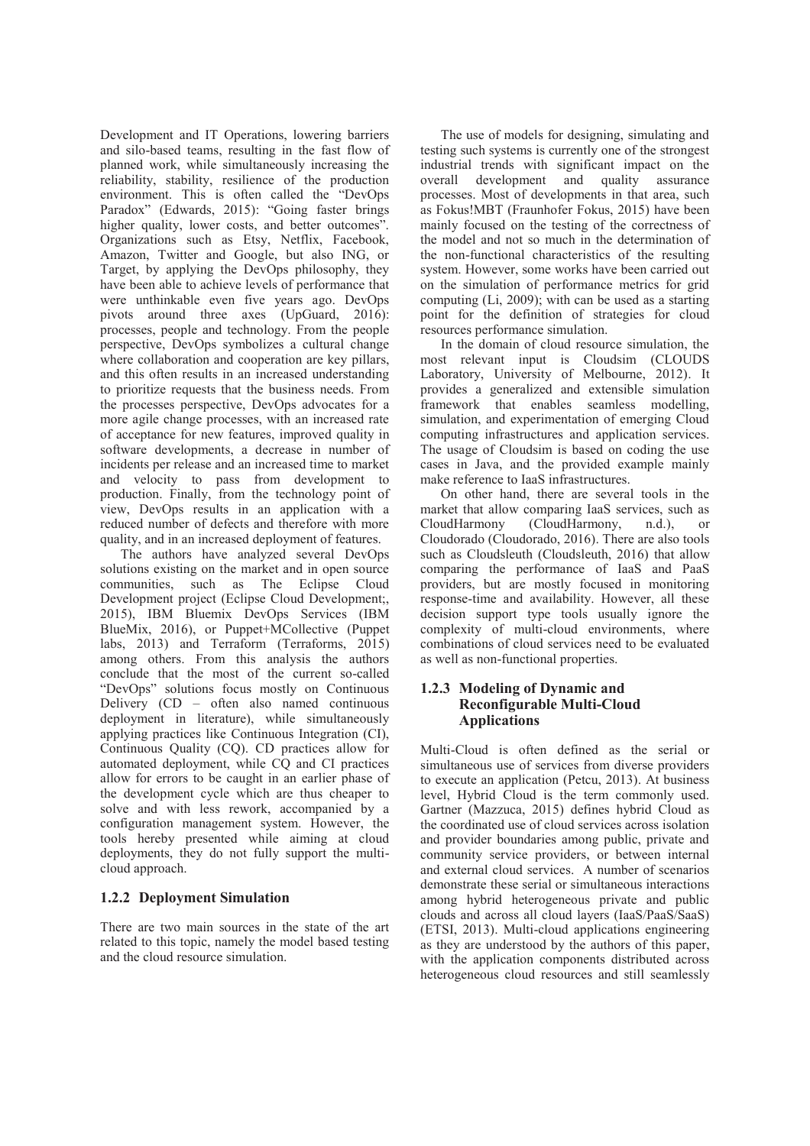Development and IT Operations, lowering barriers and silo-based teams, resulting in the fast flow of planned work, while simultaneously increasing the reliability, stability, resilience of the production environment. This is often called the "DevOps Paradox" (Edwards, 2015): "Going faster brings higher quality, lower costs, and better outcomes". Organizations such as Etsy, Netflix, Facebook, Amazon, Twitter and Google, but also ING, or Target, by applying the DevOps philosophy, they have been able to achieve levels of performance that were unthinkable even five years ago. DevOps pivots around three axes (UpGuard, 2016): processes, people and technology. From the people perspective, DevOps symbolizes a cultural change where collaboration and cooperation are key pillars. and this often results in an increased understanding to prioritize requests that the business needs. From the processes perspective, DevOps advocates for a more agile change processes, with an increased rate of acceptance for new features, improved quality in software developments, a decrease in number of incidents per release and an increased time to market and velocity to pass from development to production. Finally, from the technology point of view, DevOps results in an application with a reduced number of defects and therefore with more quality, and in an increased deployment of features.

The authors have analyzed several DevOps solutions existing on the market and in open source communities, such as The Eclipse Cloud Development project (Eclipse Cloud Development;, 2015), IBM Bluemix DevOps Services (IBM BlueMix, 2016), or Puppet+MCollective (Puppet labs, 2013) and Terraform (Terraforms, 2015) among others. From this analysis the authors conclude that the most of the current so-called "DevOps" solutions focus mostly on Continuous Delivery (CD – often also named continuous deployment in literature), while simultaneously applying practices like Continuous Integration (CI), Continuous Quality (CQ). CD practices allow for automated deployment, while CQ and CI practices allow for errors to be caught in an earlier phase of the development cycle which are thus cheaper to solve and with less rework, accompanied by a configuration management system. However, the tools hereby presented while aiming at cloud deployments, they do not fully support the multicloud approach.

#### **1.2.2 Deployment Simulation**

There are two main sources in the state of the art related to this topic, namely the model based testing and the cloud resource simulation.

The use of models for designing, simulating and testing such systems is currently one of the strongest industrial trends with significant impact on the overall development and quality assurance processes. Most of developments in that area, such as Fokus!MBT (Fraunhofer Fokus, 2015) have been mainly focused on the testing of the correctness of the model and not so much in the determination of the non-functional characteristics of the resulting system. However, some works have been carried out on the simulation of performance metrics for grid computing (Li, 2009); with can be used as a starting point for the definition of strategies for cloud resources performance simulation.

In the domain of cloud resource simulation, the most relevant input is Cloudsim (CLOUDS Laboratory, University of Melbourne, 2012). It provides a generalized and extensible simulation framework that enables seamless modelling, simulation, and experimentation of emerging Cloud computing infrastructures and application services. The usage of Cloudsim is based on coding the use cases in Java, and the provided example mainly make reference to IaaS infrastructures.

On other hand, there are several tools in the market that allow comparing IaaS services, such as CloudHarmony (CloudHarmony, n.d.), or Cloudorado (Cloudorado, 2016). There are also tools such as Cloudsleuth (Cloudsleuth, 2016) that allow comparing the performance of IaaS and PaaS providers, but are mostly focused in monitoring response-time and availability. However, all these decision support type tools usually ignore the complexity of multi-cloud environments, where combinations of cloud services need to be evaluated as well as non-functional properties.

#### **1.2.3 Modeling of Dynamic and Reconfigurable Multi-Cloud Applications**

Multi-Cloud is often defined as the serial or simultaneous use of services from diverse providers to execute an application (Petcu, 2013). At business level, Hybrid Cloud is the term commonly used. Gartner (Mazzuca, 2015) defines hybrid Cloud as the coordinated use of cloud services across isolation and provider boundaries among public, private and community service providers, or between internal and external cloud services. A number of scenarios demonstrate these serial or simultaneous interactions among hybrid heterogeneous private and public clouds and across all cloud layers (IaaS/PaaS/SaaS) (ETSI, 2013). Multi-cloud applications engineering as they are understood by the authors of this paper, with the application components distributed across heterogeneous cloud resources and still seamlessly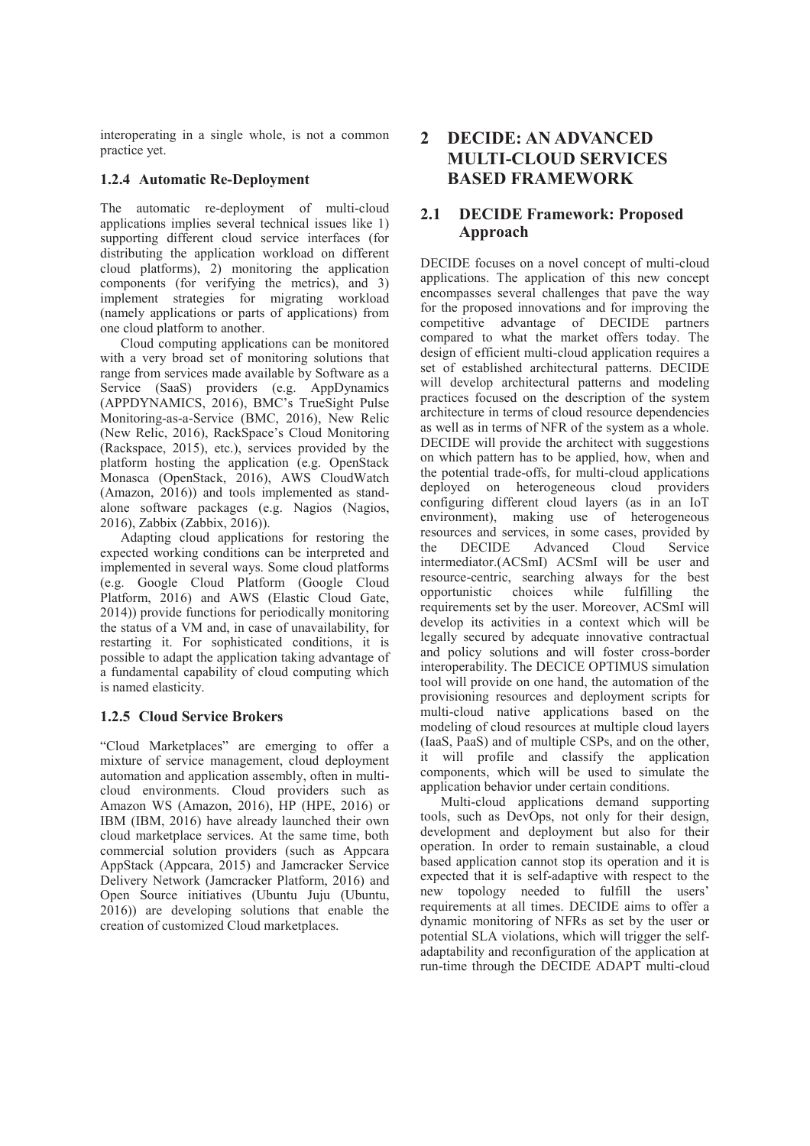interoperating in a single whole, is not a common practice yet.

#### **1.2.4 Automatic Re-Deployment**

The automatic re-deployment of multi-cloud applications implies several technical issues like 1) supporting different cloud service interfaces (for distributing the application workload on different cloud platforms), 2) monitoring the application components (for verifying the metrics), and 3) implement strategies for migrating workload (namely applications or parts of applications) from one cloud platform to another.

Cloud computing applications can be monitored with a very broad set of monitoring solutions that range from services made available by Software as a Service (SaaS) providers (e.g. AppDynamics (APPDYNAMICS, 2016), BMC's TrueSight Pulse Monitoring-as-a-Service (BMC, 2016), New Relic (New Relic, 2016), RackSpace's Cloud Monitoring (Rackspace, 2015), etc.), services provided by the platform hosting the application (e.g. OpenStack Monasca (OpenStack, 2016), AWS CloudWatch (Amazon, 2016)) and tools implemented as standalone software packages (e.g. Nagios (Nagios, 2016), Zabbix (Zabbix, 2016)).

Adapting cloud applications for restoring the expected working conditions can be interpreted and implemented in several ways. Some cloud platforms (e.g. Google Cloud Platform (Google Cloud Platform, 2016) and AWS (Elastic Cloud Gate, 2014)) provide functions for periodically monitoring the status of a VM and, in case of unavailability, for restarting it. For sophisticated conditions, it is possible to adapt the application taking advantage of a fundamental capability of cloud computing which is named elasticity.

#### **1.2.5 Cloud Service Brokers**

"Cloud Marketplaces" are emerging to offer a mixture of service management, cloud deployment automation and application assembly, often in multicloud environments. Cloud providers such as Amazon WS (Amazon, 2016), HP (HPE, 2016) or IBM (IBM, 2016) have already launched their own cloud marketplace services. At the same time, both commercial solution providers (such as Appcara AppStack (Appcara, 2015) and Jamcracker Service Delivery Network (Jamcracker Platform, 2016) and Open Source initiatives (Ubuntu Juju (Ubuntu, 2016)) are developing solutions that enable the creation of customized Cloud marketplaces.

# **2 DECIDE: AN ADVANCED MULTI-CLOUD SERVICES BASED FRAMEWORK**

#### **2.1 DECIDE Framework: Proposed Approach**

DECIDE focuses on a novel concept of multi-cloud applications. The application of this new concept encompasses several challenges that pave the way for the proposed innovations and for improving the competitive advantage of DECIDE partners compared to what the market offers today. The design of efficient multi-cloud application requires a set of established architectural patterns. DECIDE will develop architectural patterns and modeling practices focused on the description of the system architecture in terms of cloud resource dependencies as well as in terms of NFR of the system as a whole. DECIDE will provide the architect with suggestions on which pattern has to be applied, how, when and the potential trade-offs, for multi-cloud applications deployed on heterogeneous cloud providers configuring different cloud layers (as in an IoT environment), making use of heterogeneous resources and services, in some cases, provided by<br>the DECIDE Advanced Cloud Service the DECIDE Advanced intermediator.(ACSmI) ACSmI will be user and resource-centric, searching always for the best<br>opportunistic choices while fulfilling the while fulfilling the requirements set by the user. Moreover, ACSmI will develop its activities in a context which will be legally secured by adequate innovative contractual and policy solutions and will foster cross-border interoperability. The DECICE OPTIMUS simulation tool will provide on one hand, the automation of the provisioning resources and deployment scripts for multi-cloud native applications based on the modeling of cloud resources at multiple cloud layers (IaaS, PaaS) and of multiple CSPs, and on the other, it will profile and classify the application components, which will be used to simulate the application behavior under certain conditions.

Multi-cloud applications demand supporting tools, such as DevOps, not only for their design, development and deployment but also for their operation. In order to remain sustainable, a cloud based application cannot stop its operation and it is expected that it is self-adaptive with respect to the new topology needed to fulfill the users' requirements at all times. DECIDE aims to offer a dynamic monitoring of NFRs as set by the user or potential SLA violations, which will trigger the selfadaptability and reconfiguration of the application at run-time through the DECIDE ADAPT multi-cloud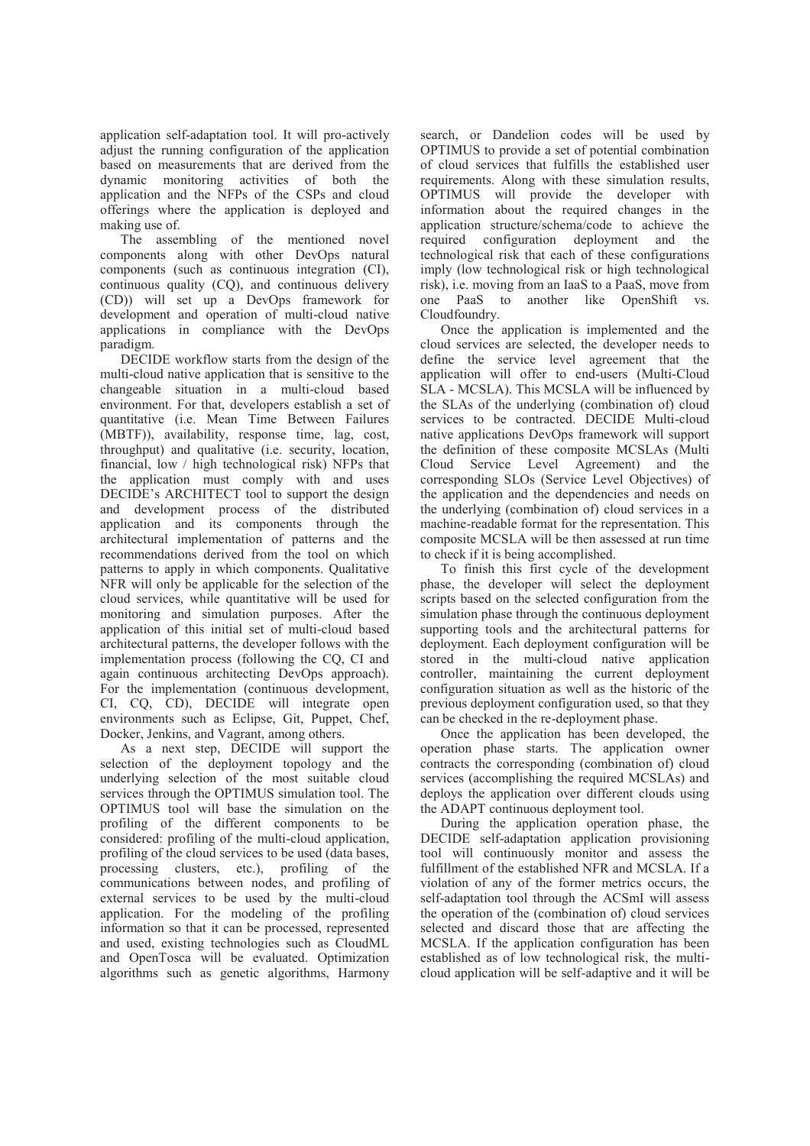application self-adaptation tool. It will pro-actively adjust the running configuration of the application based on measurements that are derived from the dynamic monitoring activities of both the application and the NFPs of the CSPs and cloud offerings where the application is deployed and making use of.

The assembling of the mentioned novel components along with other DevOps natural components (such as continuous integration (CI), continuous quality (CQ), and continuous delivery (CD)) will set up a DevOps framework for development and operation of multi-cloud native applications in compliance with the DevOps paradigm.

DECIDE workflow starts from the design of the multi-cloud native application that is sensitive to the changeable situation in a multi-cloud based environment. For that, developers establish a set of quantitative (i.e. Mean Time Between Failures (MBTF)), availability, response time, lag, cost, throughput) and qualitative (i.e. security, location, financial, low / high technological risk) NFPs that the application must comply with and uses DECIDE's ARCHITECT tool to support the design and development process of the distributed application and its components through the architectural implementation of patterns and the recommendations derived from the tool on which patterns to apply in which components. Qualitative NFR will only be applicable for the selection of the cloud services, while quantitative will be used for monitoring and simulation purposes. After the application of this initial set of multi-cloud based architectural patterns, the developer follows with the implementation process (following the CQ, CI and again continuous architecting DevOps approach). For the implementation (continuous development, CI, CQ, CD), DECIDE will integrate open environments such as Eclipse, Git, Puppet, Chef, Docker, Jenkins, and Vagrant, among others.

As a next step, DECIDE will support the selection of the deployment topology and the underlying selection of the most suitable cloud services through the OPTIMUS simulation tool. The OPTIMUS tool will base the simulation on the profiling of the different components to be considered: profiling of the multi-cloud application, profiling of the cloud services to be used (data bases, processing clusters, etc.), profiling of the communications between nodes, and profiling of external services to be used by the multi-cloud application. For the modeling of the profiling information so that it can be processed, represented and used, existing technologies such as CloudML and OpenTosca will be evaluated. Optimization algorithms such as genetic algorithms, Harmony search, or Dandelion codes will be used by OPTIMUS to provide a set of potential combination of cloud services that fulfills the established user requirements. Along with these simulation results, OPTIMUS will provide the developer with information about the required changes in the application structure/schema/code to achieve the required configuration deployment and the technological risk that each of these configurations imply (low technological risk or high technological risk), i.e. moving from an IaaS to a PaaS, move from one PaaS to another like OpenShift vs. Cloudfoundry.

Once the application is implemented and the cloud services are selected, the developer needs to define the service level agreement that the application will offer to end-users (Multi-Cloud SLA - MCSLA). This MCSLA will be influenced by the SLAs of the underlying (combination of) cloud services to be contracted. DECIDE Multi-cloud native applications DevOps framework will support the definition of these composite MCSLAs (Multi Cloud Service Level Agreement) and the corresponding SLOs (Service Level Objectives) of the application and the dependencies and needs on the underlying (combination of) cloud services in a machine-readable format for the representation. This composite MCSLA will be then assessed at run time to check if it is being accomplished.

To finish this first cycle of the development phase, the developer will select the deployment scripts based on the selected configuration from the simulation phase through the continuous deployment supporting tools and the architectural patterns for deployment. Each deployment configuration will be stored in the multi-cloud native application controller, maintaining the current deployment configuration situation as well as the historic of the previous deployment configuration used, so that they can be checked in the re-deployment phase.

Once the application has been developed, the operation phase starts. The application owner contracts the corresponding (combination of) cloud services (accomplishing the required MCSLAs) and deploys the application over different clouds using the ADAPT continuous deployment tool.

During the application operation phase, the DECIDE self-adaptation application provisioning tool will continuously monitor and assess the fulfillment of the established NFR and MCSLA. If a violation of any of the former metrics occurs, the self-adaptation tool through the ACSmI will assess the operation of the (combination of) cloud services selected and discard those that are affecting the MCSLA. If the application configuration has been established as of low technological risk, the multicloud application will be self-adaptive and it will be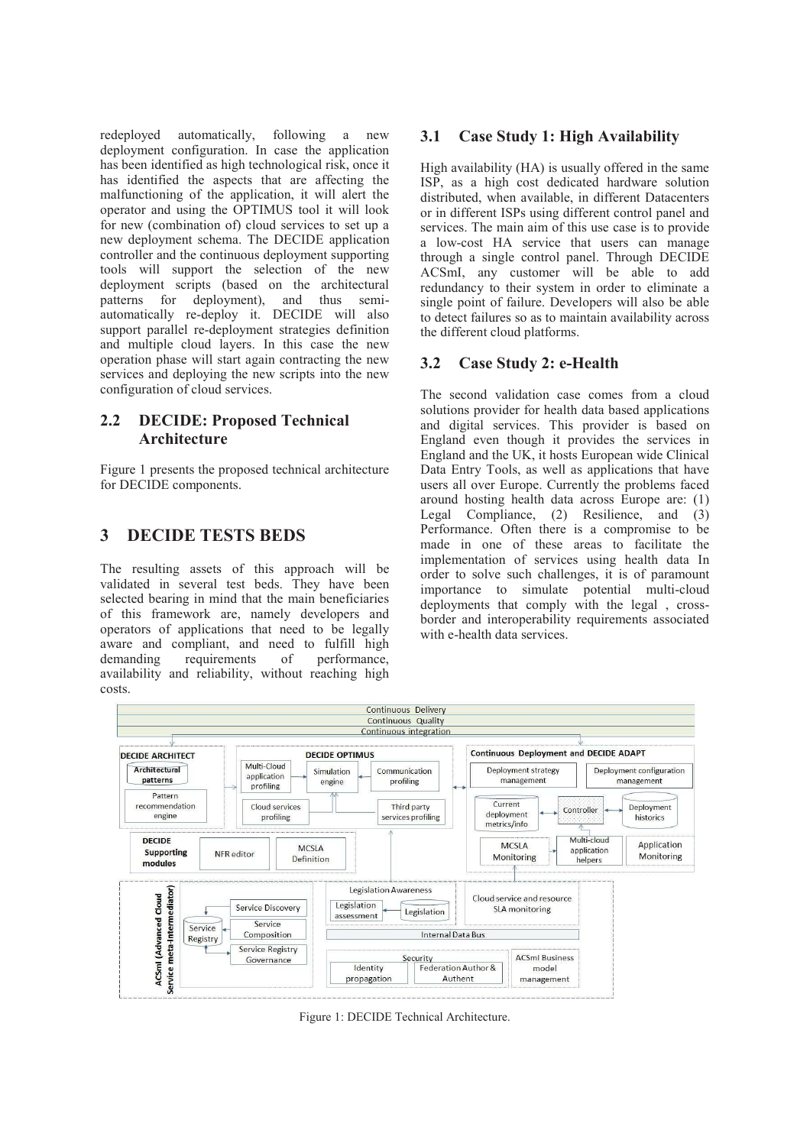redeployed automatically, following a new deployment configuration. In case the application has been identified as high technological risk, once it has identified the aspects that are affecting the malfunctioning of the application, it will alert the operator and using the OPTIMUS tool it will look for new (combination of) cloud services to set up a new deployment schema. The DECIDE application controller and the continuous deployment supporting tools will support the selection of the new deployment scripts (based on the architectural patterns for deployment), and thus semiautomatically re-deploy it. DECIDE will also support parallel re-deployment strategies definition and multiple cloud layers. In this case the new operation phase will start again contracting the new services and deploying the new scripts into the new configuration of cloud services.

### **2.2 DECIDE: Proposed Technical Architecture**

Figure 1 presents the proposed technical architecture for DECIDE components.

# **3 DECIDE TESTS BEDS**

The resulting assets of this approach will be validated in several test beds. They have been selected bearing in mind that the main beneficiaries of this framework are, namely developers and operators of applications that need to be legally aware and compliant, and need to fulfill high demanding requirements of performance, requirements of availability and reliability, without reaching high costs.

# **3.1 Case Study 1: High Availability**

High availability (HA) is usually offered in the same ISP, as a high cost dedicated hardware solution distributed, when available, in different Datacenters or in different ISPs using different control panel and services. The main aim of this use case is to provide a low-cost HA service that users can manage through a single control panel. Through DECIDE ACSmI, any customer will be able to add redundancy to their system in order to eliminate a single point of failure. Developers will also be able to detect failures so as to maintain availability across the different cloud platforms.

### **3.2 Case Study 2: e-Health**

The second validation case comes from a cloud solutions provider for health data based applications and digital services. This provider is based on England even though it provides the services in England and the UK, it hosts European wide Clinical Data Entry Tools, as well as applications that have users all over Europe. Currently the problems faced around hosting health data across Europe are: (1) Legal Compliance, (2) Resilience, and (3) Performance. Often there is a compromise to be made in one of these areas to facilitate the implementation of services using health data In order to solve such challenges, it is of paramount importance to simulate potential multi-cloud deployments that comply with the legal , crossborder and interoperability requirements associated with e-health data services.



Figure 1: DECIDE Technical Architecture.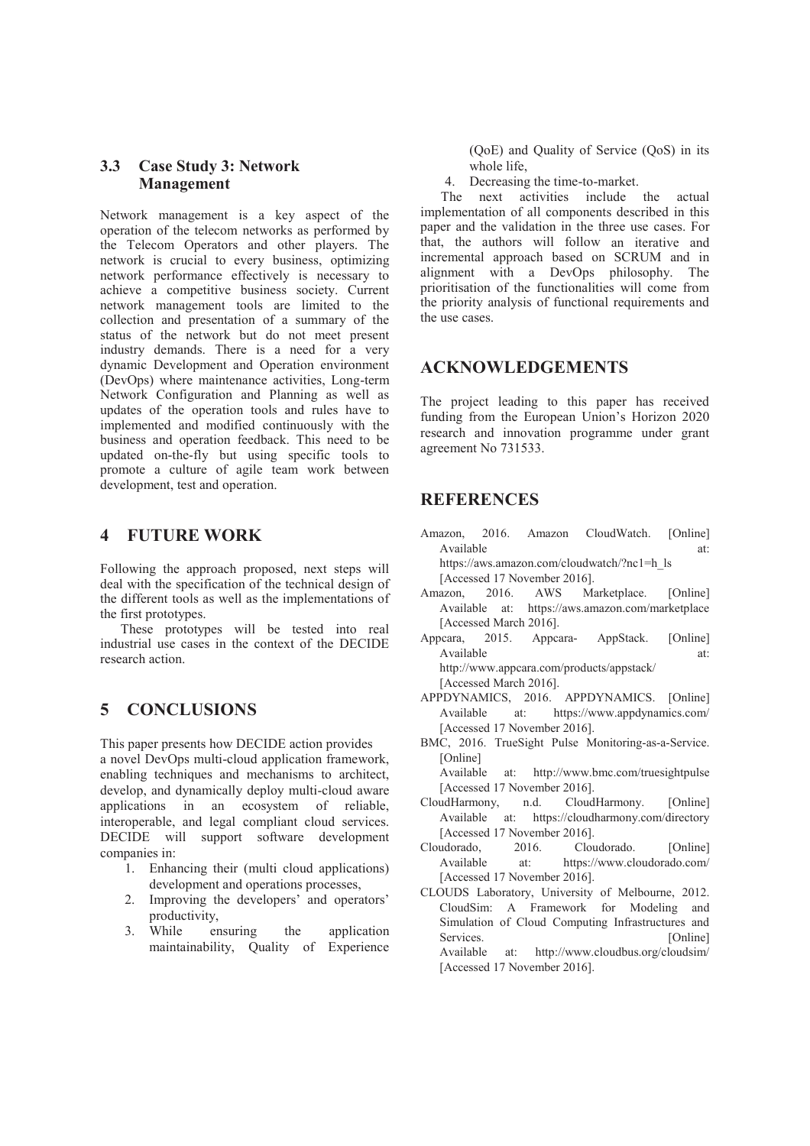### **3.3 Case Study 3: Network Management**

Network management is a key aspect of the operation of the telecom networks as performed by the Telecom Operators and other players. The network is crucial to every business, optimizing network performance effectively is necessary to achieve a competitive business society. Current network management tools are limited to the collection and presentation of a summary of the status of the network but do not meet present industry demands. There is a need for a very dynamic Development and Operation environment (DevOps) where maintenance activities, Long-term Network Configuration and Planning as well as updates of the operation tools and rules have to implemented and modified continuously with the business and operation feedback. This need to be updated on-the-fly but using specific tools to promote a culture of agile team work between development, test and operation.

# **4 FUTURE WORK**

Following the approach proposed, next steps will deal with the specification of the technical design of the different tools as well as the implementations of the first prototypes.

These prototypes will be tested into real industrial use cases in the context of the DECIDE research action.

# **5 CONCLUSIONS**

This paper presents how DECIDE action provides a novel DevOps multi-cloud application framework, enabling techniques and mechanisms to architect, develop, and dynamically deploy multi-cloud aware applications in an ecosystem of reliable, interoperable, and legal compliant cloud services. DECIDE will support software development companies in:

- 1. Enhancing their (multi cloud applications) development and operations processes,
- 2. Improving the developers' and operators' productivity,
- 3. While ensuring the application maintainability, Quality of Experience

(QoE) and Quality of Service (QoS) in its whole life,

4. Decreasing the time-to-market.

The next activities include the actual implementation of all components described in this paper and the validation in the three use cases. For that, the authors will follow an iterative and incremental approach based on SCRUM and in alignment with a DevOps philosophy. The prioritisation of the functionalities will come from the priority analysis of functional requirements and the use cases.

### **ACKNOWLEDGEMENTS**

The project leading to this paper has received funding from the European Union's Horizon 2020 research and innovation programme under grant agreement No 731533.

# **REFERENCES**

Amazon, 2016. Amazon CloudWatch. [Online] Available at: at: https://aws.amazon.com/cloudwatch/?nc1=h\_ls

[Accessed 17 November 2016].

- Amazon, 2016. AWS Marketplace. [Online] Available at: https://aws.amazon.com/marketplace [Accessed March 2016].
- Appcara, 2015. Appcara- AppStack. [Online] Available at: at: http://www.appcara.com/products/appstack/ [Accessed March 2016].
- APPDYNAMICS, 2016. APPDYNAMICS. [Online] Available at: https://www.appdynamics.com/ [Accessed 17 November 2016].
- BMC, 2016. TrueSight Pulse Monitoring-as-a-Service. [Online]

Available at: http://www.bmc.com/truesightpulse [Accessed 17 November 2016].

- CloudHarmony, n.d. CloudHarmony. [Online] Available at: https://cloudharmony.com/directory [Accessed 17 November 2016].
- Cloudorado. 2016. Cloudorado. [Online] Available at: https://www.cloudorado.com/ [Accessed 17 November 2016].
- CLOUDS Laboratory, University of Melbourne, 2012. CloudSim: A Framework for Modeling and Simulation of Cloud Computing Infrastructures and Services. [Online] Available at: http://www.cloudbus.org/cloudsim/ [Accessed 17 November 2016].